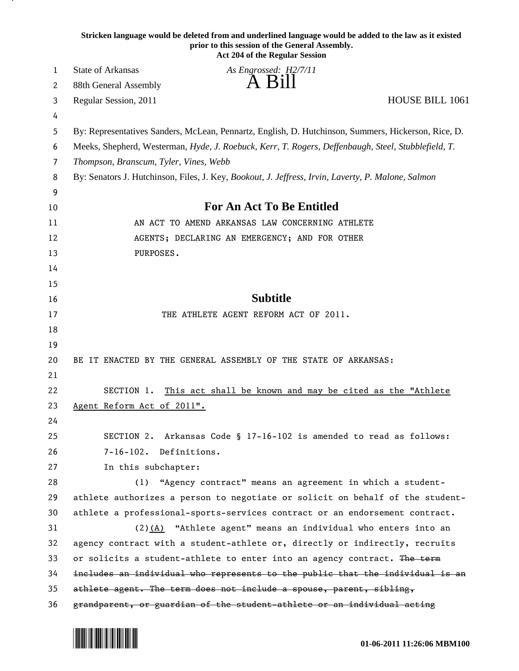|    | Stricken language would be deleted from and underlined language would be added to the law as it existed<br>prior to this session of the General Assembly.<br><b>Act 204 of the Regular Session</b> |
|----|----------------------------------------------------------------------------------------------------------------------------------------------------------------------------------------------------|
| 1  | State of Arkansas<br>As Engrossed: H2/7/11                                                                                                                                                         |
| 2  | A Bill<br>88th General Assembly                                                                                                                                                                    |
| 3  | HOUSE BILL 1061<br>Regular Session, 2011                                                                                                                                                           |
| 4  |                                                                                                                                                                                                    |
| 5  | By: Representatives Sanders, McLean, Pennartz, English, D. Hutchinson, Summers, Hickerson, Rice, D.                                                                                                |
| 6  | Meeks, Shepherd, Westerman, Hyde, J. Roebuck, Kerr, T. Rogers, Deffenbaugh, Steel, Stubblefield, T.                                                                                                |
| 7  | Thompson, Branscum, Tyler, Vines, Webb                                                                                                                                                             |
| 8  | By: Senators J. Hutchinson, Files, J. Key, Bookout, J. Jeffress, Irvin, Laverty, P. Malone, Salmon                                                                                                 |
| 9  |                                                                                                                                                                                                    |
| 10 | <b>For An Act To Be Entitled</b>                                                                                                                                                                   |
| 11 | AN ACT TO AMEND ARKANSAS LAW CONCERNING ATHLETE                                                                                                                                                    |
| 12 | AGENTS; DECLARING AN EMERGENCY; AND FOR OTHER                                                                                                                                                      |
| 13 | PURPOSES.                                                                                                                                                                                          |
| 14 |                                                                                                                                                                                                    |
| 15 |                                                                                                                                                                                                    |
| 16 | <b>Subtitle</b>                                                                                                                                                                                    |
| 17 | THE ATHLETE AGENT REFORM ACT OF 2011.                                                                                                                                                              |
| 18 |                                                                                                                                                                                                    |
| 19 |                                                                                                                                                                                                    |
| 20 | BE IT ENACTED BY THE GENERAL ASSEMBLY OF THE STATE OF ARKANSAS:                                                                                                                                    |
| 21 |                                                                                                                                                                                                    |
| 22 | SECTION 1.<br>This act shall be known and may be cited as the "Athlete"                                                                                                                            |
| 23 | Agent Reform Act of 2011".                                                                                                                                                                         |
| 24 |                                                                                                                                                                                                    |
| 25 | SECTION 2. Arkansas Code § 17-16-102 is amended to read as follows:                                                                                                                                |
| 26 | 7-16-102. Definitions.                                                                                                                                                                             |
| 27 | In this subchapter:                                                                                                                                                                                |
| 28 | (1) "Agency contract" means an agreement in which a student-                                                                                                                                       |
| 29 | athlete authorizes a person to negotiate or solicit on behalf of the student-                                                                                                                      |
| 30 | athlete a professional-sports-services contract or an endorsement contract.                                                                                                                        |
| 31 | $(2)$ (A) "Athlete agent" means an individual who enters into an                                                                                                                                   |
| 32 | agency contract with a student-athlete or, directly or indirectly, recruits                                                                                                                        |
| 33 | or solicits a student-athlete to enter into an agency contract. The term                                                                                                                           |
| 34 | includes an individual who represents to the public that the individual is an                                                                                                                      |
| 35 | athlete agent. The term does not include a spouse, parent, sibling,                                                                                                                                |
| 36 | grandparent, or guardian of the student-athlete or an individual acting                                                                                                                            |



<u>на п</u>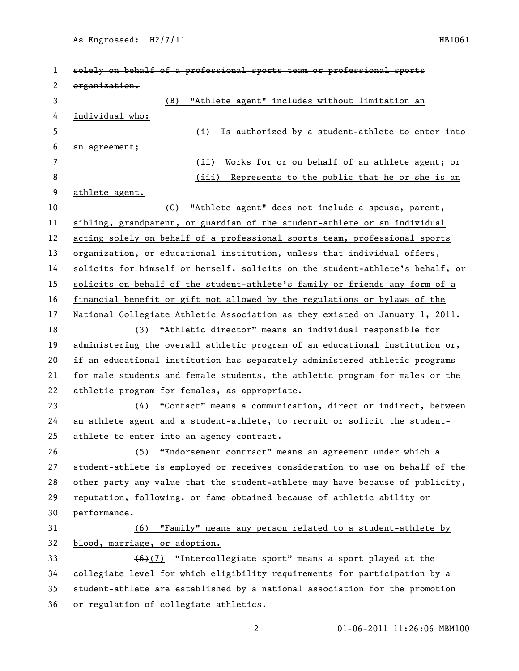As Engrossed: H2/7/11 HB1061

| 1  | solely on behalf of a professional sports team or professional sports         |
|----|-------------------------------------------------------------------------------|
| 2  | organization.                                                                 |
| 3  | "Athlete agent" includes without limitation an<br>(B)                         |
| 4  | individual who:                                                               |
| 5  | Is authorized by a student-athlete to enter into<br>(i)                       |
| 6  | an agreement;                                                                 |
| 7  | Works for or on behalf of an athlete agent; or<br>(ii)                        |
| 8  | (iii)<br>Represents to the public that he or she is an                        |
| 9  | athlete agent.                                                                |
| 10 | "Athlete agent" does not include a spouse, parent,<br>(C)                     |
| 11 | sibling, grandparent, or guardian of the student-athlete or an individual     |
| 12 | acting solely on behalf of a professional sports team, professional sports    |
| 13 | organization, or educational institution, unless that individual offers,      |
| 14 | solicits for himself or herself, solicits on the student-athlete's behalf, or |
| 15 | solicits on behalf of the student-athlete's family or friends any form of a   |
| 16 | financial benefit or gift not allowed by the regulations or bylaws of the     |
| 17 | National Collegiate Athletic Association as they existed on January 1, 2011.  |
| 18 | (3) "Athletic director" means an individual responsible for                   |
| 19 | administering the overall athletic program of an educational institution or,  |
| 20 | if an educational institution has separately administered athletic programs   |
| 21 | for male students and female students, the athletic program for males or the  |
| 22 | athletic program for females, as appropriate.                                 |
| 23 | "Contact" means a communication, direct or indirect, between<br>(4)           |
| 24 | an athlete agent and a student-athlete, to recruit or solicit the student-    |
| 25 | athlete to enter into an agency contract.                                     |
| 26 | (5) "Endorsement contract" means an agreement under which a                   |
| 27 | student-athlete is employed or receives consideration to use on behalf of the |
| 28 | other party any value that the student-athlete may have because of publicity, |
| 29 | reputation, following, or fame obtained because of athletic ability or        |
| 30 | performance.                                                                  |
| 31 | "Family" means any person related to a student-athlete by<br>(6)              |
| 32 | blood, marriage, or adoption.                                                 |
| 33 | $(6)(7)$ "Intercollegiate sport" means a sport played at the                  |
| 34 | collegiate level for which eligibility requirements for participation by a    |
| 35 | student-athlete are established by a national association for the promotion   |
| 36 | or regulation of collegiate athletics.                                        |
|    |                                                                               |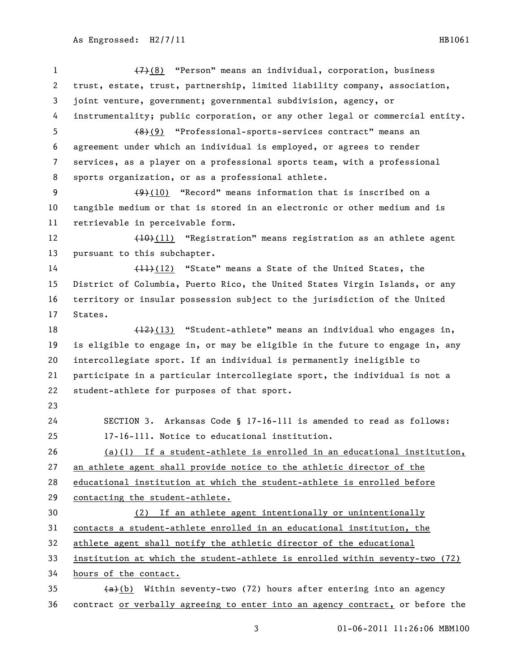(7)(8) "Person" means an individual, corporation, business trust, estate, trust, partnership, limited liability company, association, joint venture, government; governmental subdivision, agency, or instrumentality; public corporation, or any other legal or commercial entity. (8)(9) "Professional-sports-services contract" means an agreement under which an individual is employed, or agrees to render services, as a player on a professional sports team, with a professional sports organization, or as a professional athlete. 9 (9)(10) "Record" means information that is inscribed on a tangible medium or that is stored in an electronic or other medium and is retrievable in perceivable form. 12 (10)(11) "Registration" means registration as an athlete agent pursuant to this subchapter. 14 (11)(12) "State" means a State of the United States, the District of Columbia, Puerto Rico, the United States Virgin Islands, or any territory or insular possession subject to the jurisdiction of the United States. 18 (12)(13) "Student-athlete" means an individual who engages in, is eligible to engage in, or may be eligible in the future to engage in, any intercollegiate sport. If an individual is permanently ineligible to participate in a particular intercollegiate sport, the individual is not a student-athlete for purposes of that sport. SECTION 3. Arkansas Code § 17-16-111 is amended to read as follows: 17-16-111. Notice to educational institution. (a)(1) If a student-athlete is enrolled in an educational institution, an athlete agent shall provide notice to the athletic director of the educational institution at which the student-athlete is enrolled before contacting the student-athlete. (2) If an athlete agent intentionally or unintentionally contacts a student-athlete enrolled in an educational institution, the athlete agent shall notify the athletic director of the educational institution at which the student-athlete is enrolled within seventy-two (72) hours of the contact.  $(a)$  (b) Within seventy-two (72) hours after entering into an agency contract or verbally agreeing to enter into an agency contract, or before the

01-06-2011 11:26:06 MBM100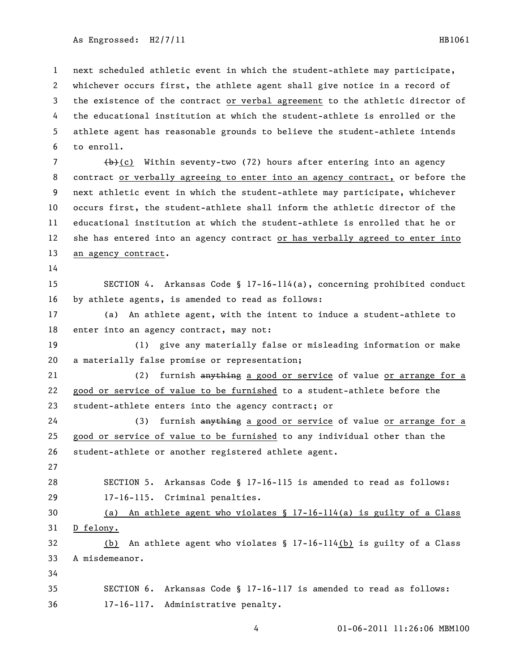As Engrossed: H2/7/11 HB1061

 next scheduled athletic event in which the student-athlete may participate, whichever occurs first, the athlete agent shall give notice in a record of the existence of the contract or verbal agreement to the athletic director of the educational institution at which the student-athlete is enrolled or the athlete agent has reasonable grounds to believe the student-athlete intends to enroll.

 $\left(\frac{b}{c}\right)$  Within seventy-two (72) hours after entering into an agency 8 contract or verbally agreeing to enter into an agency contract, or before the next athletic event in which the student-athlete may participate, whichever occurs first, the student-athlete shall inform the athletic director of the educational institution at which the student-athlete is enrolled that he or she has entered into an agency contract or has verbally agreed to enter into an agency contract.

 SECTION 4. Arkansas Code § 17-16-114(a), concerning prohibited conduct by athlete agents, is amended to read as follows:

 (a) An athlete agent, with the intent to induce a student-athlete to 18 enter into an agency contract, may not:

 (1) give any materially false or misleading information or make a materially false promise or representation;

21 (2) furnish anything a good or service of value or arrange for a good or service of value to be furnished to a student-athlete before the student-athlete enters into the agency contract; or

24 (3) furnish anything a good or service of value or arrange for a good or service of value to be furnished to any individual other than the student-athlete or another registered athlete agent.

 SECTION 5. Arkansas Code § 17-16-115 is amended to read as follows: 17-16-115. Criminal penalties.

 (a) An athlete agent who violates § 17-16-114(a) is guilty of a Class D felony.

 (b) An athlete agent who violates § 17-16-114(b) is guilty of a Class A misdemeanor.

 SECTION 6. Arkansas Code § 17-16-117 is amended to read as follows: 17-16-117. Administrative penalty.

01-06-2011 11:26:06 MBM100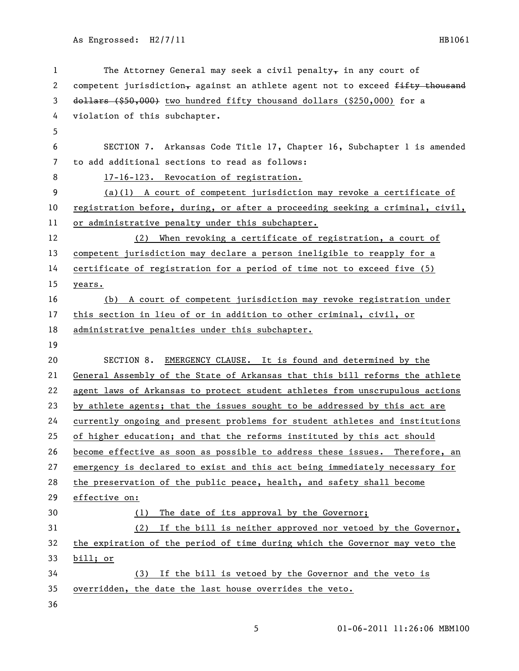As Engrossed: H2/7/11 HB1061

| 1  | The Attorney General may seek a civil penalty, in any court of                |
|----|-------------------------------------------------------------------------------|
| 2  | competent jurisdiction, against an athlete agent not to exceed fifty thousand |
| 3  | dollars (\$50,000) two hundred fifty thousand dollars (\$250,000) for a       |
| 4  | violation of this subchapter.                                                 |
| 5  |                                                                               |
| 6  | SECTION 7. Arkansas Code Title 17, Chapter 16, Subchapter 1 is amended        |
| 7  | to add additional sections to read as follows:                                |
| 8  | 17-16-123. Revocation of registration.                                        |
| 9  | $(a)(1)$ A court of competent jurisdiction may revoke a certificate of        |
| 10 | registration before, during, or after a proceeding seeking a criminal, civil, |
| 11 | or administrative penalty under this subchapter.                              |
| 12 | (2) When revoking a certificate of registration, a court of                   |
| 13 | competent jurisdiction may declare a person ineligible to reapply for a       |
| 14 | certificate of registration for a period of time not to exceed five (5)       |
| 15 | years.                                                                        |
| 16 | (b) A court of competent jurisdiction may revoke registration under           |
| 17 | this section in lieu of or in addition to other criminal, civil, or           |
| 18 | administrative penalties under this subchapter.                               |
| 19 |                                                                               |
| 20 | SECTION 8. EMERGENCY CLAUSE. It is found and determined by the                |
| 21 | General Assembly of the State of Arkansas that this bill reforms the athlete  |
| 22 | agent laws of Arkansas to protect student athletes from unscrupulous actions  |
| 23 | by athlete agents; that the issues sought to be addressed by this act are     |
| 24 | currently ongoing and present problems for student athletes and institutions  |
| 25 | of higher education; and that the reforms instituted by this act should       |
| 26 | become effective as soon as possible to address these issues. Therefore, an   |
| 27 | emergency is declared to exist and this act being immediately necessary for   |
| 28 | the preservation of the public peace, health, and safety shall become         |
| 29 | effective on:                                                                 |
| 30 | The date of its approval by the Governor;<br>(1)                              |
| 31 | (2) If the bill is neither approved nor vetoed by the Governor,               |
| 32 | the expiration of the period of time during which the Governor may veto the   |
| 33 | bill; or                                                                      |
| 34 | (3) If the bill is vetoed by the Governor and the veto is                     |
| 35 | overridden, the date the last house overrides the veto.                       |
| 36 |                                                                               |

5 01-06-2011 11:26:06 MBM100